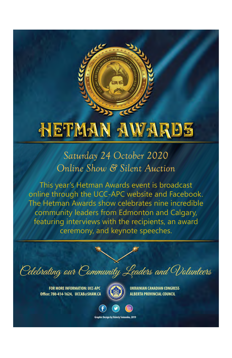# **HETMAN AWARDS**

## *Saturday 24 October 2020 Online Show & Silent Auction*

This year's Hetman Awards event is broadcast online through the UCC-APC website and Facebook. The Hetman Awards show celebrates nine incredible community leaders from Edmonton and Calgary, featuring interviews with the recipients, an award ceremony, and keynote speeches.

Celebrating our Community Leaders and Walunteers

**FOR MORE INFORMATION: UCC-APC** Office: 780-414-1624, UCCAB@SHAW.CA



**UKRAINIAN CANADIAN CONGRESS ALBERTA PROVINCIAL COUNCIL** 

**Graphic Design by Valeriy Semenko, 2019**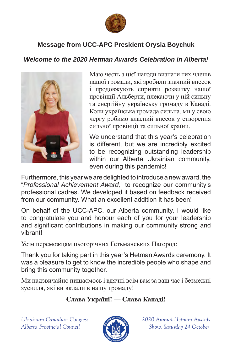

### **Message from UCC-APC President Orysia Boychuk**

### *Welcome to the 2020 Hetman Awards Celebration in Alberta!*



Маю честь з цієї нагоди визнати тих членів нашої громади, які зробили значний внесок і продовжують сприяти розвитку нашої провінції Альберти, плекаючи у ній сильну та енергійну українську громаду в Канаді. Коли українська громада сильна, ми у свою чергу робимо власний внесок у створення сильної провінції та сильної країни.

We understand that this year's celebration is different, but we are incredibly excited to be recognizing outstanding leadership within our Alberta Ukrainian community, even during this pandemic!

Furthermore, this year we are delighted to introduce a new award, the "*Professional Achievement Award,*" to recognize our community's professional cadres. We developed it based on feedback received from our community. What an excellent addition it has been!

On behalf of the UCC-APC, our Alberta community, I would like to congratulate you and honour each of you for your leadership and significant contributions in making our community strong and vibrant!

Усім переможцям цьогорічних Гетьманських Нагород:

Тhank you for taking part in this year's Hetman Awards ceremony. It was a pleasure to get to know the incredible people who shape and bring this community together.

Ми надзвичайно пишаємось і вдячні всім вам за ваш час і безмежні зусилля, які ви вклали в нашу громаду!

### **Слава Україні! — Слава Канаді!**

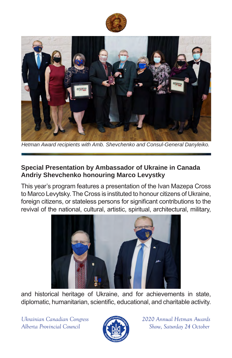



*Hetman Award recipients with Amb. Shevchenko and Consul-General Danyleiko.*

### **Special Presentation by Ambassador of Ukraine in Canada Andriy Shevchenko honouring Marco Levystky**

This year's program features a presentation of the Ivan Mazepa Cross to Marco Levytsky. The Cross is instituted to honour citizens of Ukraine, foreign citizens, or stateless persons for significant contributions to the revival of the national, cultural, artistic, spiritual, architectural, military,



and historical heritage of Ukraine, and for achievements in state, diplomatic, humanitarian, scientific, educational, and charitable activity.

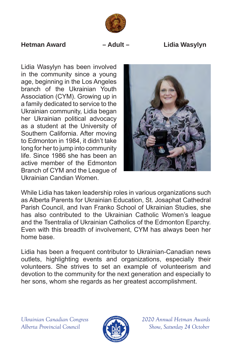

### **Hetman Award – Adult – Lidia Wasylyn**

Lidia Wasylyn has been involved in the community since a young age, beginning in the Los Angeles branch of the Ukrainian Youth Association (CYM). Growing up in a family dedicated to service to the Ukrainian community, Lidia began her Ukrainian political advocacy as a student at the University of Southern California. After moving to Edmonton in 1984, it didn't take long for her to jump into community life. Since 1986 she has been an active member of the Edmonton Branch of CYM and the League of Ukrainian Candian Women.



While Lidia has taken leadership roles in various organizations such as Alberta Parents for Ukrainian Education, St. Josaphat Cathedral Parish Council, and Ivan Franko School of Ukrainian Studies, she has also contributed to the Ukrainian Catholic Women's league and the Tsentralia of Ukrainian Catholics of the Edmonton Eparchy. Even with this breadth of involvement, CYM has always been her home base.

Lidia has been a frequent contributor to Ukrainian-Canadian news outlets, highlighting events and organizations, especially their volunteers. She strives to set an example of volunteerism and devotion to the community for the next generation and especially to her sons, whom she regards as her greatest accomplishment.

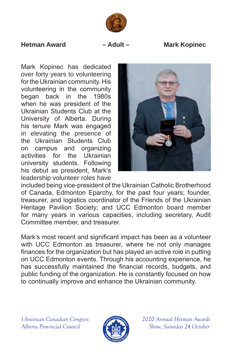

### **Hetman Award – Adult – Mark Kopinec**

Mark Kopinec has dedicated over forty years to volunteering for the Ukrainian community. His volunteering in the community began back in the 1980s when he was president of the Ukrainian Students Club at the University of Alberta. During his tenure Mark was engaged in elevating the presence of the Ukrainian Students Club on campus and organizing activities for the Ukrainian university students. Following his debut as president, Mark's leadership volunteer roles have



included being vice-president of the Ukrainian Catholic Brotherhood of Canada, Edmonton Eparchy, for the past four years; founder, treasurer, and logistics coordinator of the Friends of the Ukrainian Heritage Pavilion Society; and UCC Edmonton board member for many years in various capacities, including secretary, Audit Committee member, and treasurer.

Mark's most recent and significant impact has been as a volunteer with UCC Edmonton as treasurer, where he not only manages finances for the organization but has played an active role in putting on UCC Edmonton events. Through his accounting experience, he has successfully maintained the financial records, budgets, and public funding of the organization. He is constantly focused on how to continually improve and enhance the Ukrainian community.

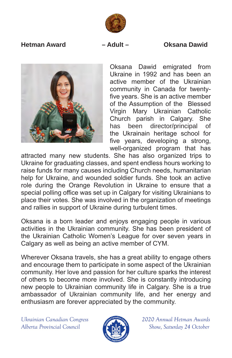

### **Hetman Award – Adult – Oksana Dawid**



Oksana Dawid emigrated from Ukraine in 1992 and has been an active member of the Ukrainian community in Canada for twentyfive years. She is an active member of the Assumption of the Blessed Virgin Mary Ukrainian Catholic Church parish in Calgary. She has been director/principal of the Ukrainain heritage school for five years, developing a strong, well-organized program that has

attracted many new students. She has also organized trips to Ukraine for graduating classes, and spent endless hours working to raise funds for many causes including Church needs, humanitarian help for Ukraine, and wounded soldier funds. She took an active role during the Orange Revolution in Ukraine to ensure that a special polling office was set up in Calgary for visiting Ukrainians to place their votes. She was involved in the organization of meetings and rallies in support of Ukraine during turbulent times.

Oksana is a born leader and enjoys engaging people in various activities in the Ukrainian community. She has been president of the Ukrainian Catholic Women's League for over seven years in Calgary as well as being an active member of CYM.

Wherever Oksana travels, she has a great ability to engage others and encourage them to participate in some aspect of the Ukrainian community. Her love and passion for her culture sparks the interest of others to become more involved. She is constantly introducing new people to Ukrainian community life in Calgary. She is a true ambassador of Ukrainian community life, and her energy and enthusiasm are forever appreciated by the community.

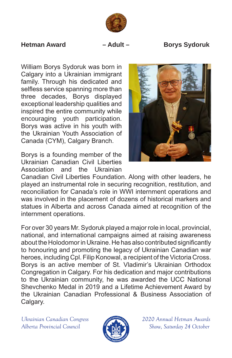

Hetman Award **– Adult – Borys Sydoruk** 

William Borys Sydoruk was born in Calgary into a Ukrainian immigrant family. Through his dedicated and selfless service spanning more than three decades, Borys displayed exceptional leadership qualities and inspired the entire community while encouraging youth participation. Borys was active in his youth with the Ukrainian Youth Association of Canada (CYM), Calgary Branch.

Borys is a founding member of the Ukrainian Canadian Civil Liberties Association and the Ukrainian



Canadian Civil Liberties Foundation. Along with other leaders, he played an instrumental role in securing recognition, restitution, and reconciliation for Canada's role in WWI internment operations and was involved in the placement of dozens of historical markers and statues in Alberta and across Canada aimed at recognition of the internment operations.

For over 30 years Mr. Sydoruk played a major role in local, provincial, national, and international campaigns aimed at raising awareness about the Holodomor in Ukraine. He has also contributed significantly to honouring and promoting the legacy of Ukrainian Canadian war heroes, including Cpl. Filip Konowal, a recipient of the Victoria Cross. Borys is an active member of St. Vladimir's Ukrainian Orthodox Congregation in Calgary. For his dedication and major contributions to the Ukrainian community, he was awarded the UCC National Shevchenko Medal in 2019 and a Lifetime Achievement Award by the Ukrainian Canadian Professional & Business Association of Calgary.

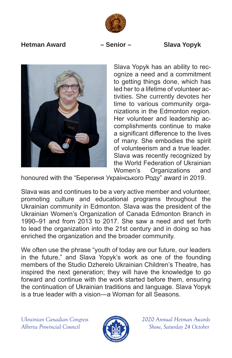

### **Hetman Award – Senior – Slava Yopyk**



Slava Yopyk has an ability to recognize a need and a commitment to getting things done, which has led her to a lifetime of volunteer activities. She currently devotes her time to various community organizations in the Edmonton region. Her volunteer and leadership accomplishments continue to make a significant difference to the lives of many. She embodies the spirit of volunteerism and a true leader. Slava was recently recognized by the World Federation of Ukrainian Women's Organizations and

honoured with the "Берегиня Украінського Роду" award in 2019.

Slava was and continues to be a very active member and volunteer, promoting culture and educational programs throughout the Ukrainian community in Edmonton. Slava was the president of the Ukrainian Women's Organization of Canada Edmonton Branch in 1990–91 and from 2013 to 2017. She saw a need and set forth to lead the organization into the 21st century and in doing so has enriched the organization and the broader community.

We often use the phrase "youth of today are our future, our leaders in the future," and Slava Yopyk's work as one of the founding members of the Studio Dzherelo Ukrainian Children's Theatre, has inspired the next generation; they will have the knowledge to go forward and continue with the work started before them, ensuring the continuation of Ukrainian traditions and language. Slava Yopyk is a true leader with a vision—a Woman for all Seasons.

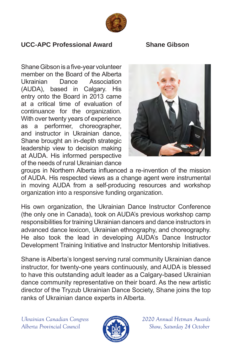

### **UCC-APC Professional Award Shane Gibson**

Shane Gibson is a five-year volunteer member on the Board of the Alberta Ukrainian Dance Association (AUDA), based in Calgary. His entry onto the Board in 2013 came at a critical time of evaluation of continuance for the organization. With over twenty years of experience as a performer, choreographer, and instructor in Ukrainian dance, Shane brought an in-depth strategic leadership view to decision making at AUDA. His informed perspective of the needs of rural Ukrainian dance



groups in Northern Alberta influenced a re-invention of the mission of AUDA. His respected views as a change agent were instrumental in moving AUDA from a self-producing resources and workshop organization into a responsive funding organization.

His own organization, the Ukrainian Dance Instructor Conference (the only one in Canada), took on AUDA's previous workshop camp responsibilities for training Ukrainian dancers and dance instructors in advanced dance lexicon, Ukrainian ethnography, and choreography. He also took the lead in developing AUDA's Dance Instructor Development Training Initiative and Instructor Mentorship Initiatives.

Shane is Alberta's longest serving rural community Ukrainian dance instructor, for twenty-one years continuously, and AUDA is blessed to have this outstanding adult leader as a Calgary-based Ukrainian dance community representative on their board. As the new artistic director of the Tryzub Ukrainian Dance Society, Shane joins the top ranks of Ukrainian dance experts in Alberta.

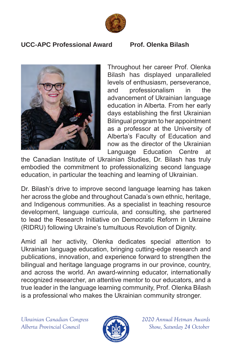

### **UCC-APC Professional Award Prof. Olenka Bilash**



Throughout her career Prof. Olenka Bilash has displayed unparalleled levels of enthusiasm, perseverance, and professionalism in the advancement of Ukrainian language education in Alberta. From her early days establishing the first Ukrainian Bilingual program to her appointment as a professor at the University of Alberta's Faculty of Education and now as the director of the Ukrainian Language Education Centre at

the Canadian Institute of Ukrainian Studies, Dr. Bilash has truly embodied the commitment to professionalizing second language education, in particular the teaching and learning of Ukrainian.

Dr. Bilash's drive to improve second language learning has taken her across the globe and throughout Canada's own ethnic, heritage, and Indigenous communities. As a specialist in teaching resource development, language curricula, and consulting, she partnered to lead the Research Initiative on Democratic Reform in Ukraine (RIDRU) following Ukraine's tumultuous Revolution of Dignity.

Amid all her activity, Olenka dedicates special attention to Ukrainian language education, bringing cutting-edge research and publications, innovation, and experience forward to strengthen the bilingual and heritage language programs in our province, country, and across the world. An award-winning educator, internationally recognized researcher, an attentive mentor to our educators, and a true leader in the language learning community, Prof. Olenka Bilash is a professional who makes the Ukrainian community stronger.

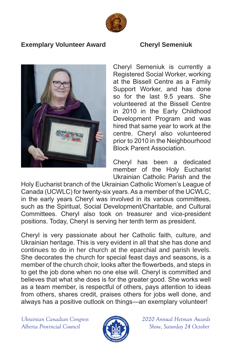

### **Exemplary Volunteer Award Cheryl Semeniuk**



Cheryl Semeniuk is currently a Registered Social Worker, working at the Bissell Centre as a Family Support Worker, and has done so for the last 9.5 years. She volunteered at the Bissell Centre in 2010 in the Early Childhood Development Program and was hired that same year to work at the centre. Cheryl also volunteered prior to 2010 in the Neighbourhood Block Parent Association.

Cheryl has been a dedicated member of the Holy Eucharist Ukrainian Catholic Parish and the

Holy Eucharist branch of the Ukrainian Catholic Women's League of Canada (UCWLC) for twenty-six years. As a member of the UCWLC, in the early years Cheryl was involved in its various committees, such as the Spiritual, Social Development/Charitable, and Cultural Committees. Cheryl also took on treasurer and vice-president positions. Today, Cheryl is serving her tenth term as president.

Cheryl is very passionate about her Catholic faith, culture, and Ukrainian heritage. This is very evident in all that she has done and continues to do in her church at the eparchial and parish levels. She decorates the church for special feast days and seasons, is a member of the church choir, looks after the flowerbeds, and steps in to get the job done when no one else will. Cheryl is committed and believes that what she does is for the greater good. She works well as a team member, is respectful of others, pays attention to ideas from others, shares credit, praises others for jobs well done, and always has a positive outlook on things—an exemplary volunteer!

*Alberta Provincial Council Show, Saturday 24 October* 



*Ukrainian Canadian Congress 2020 Annual Hetman Awards*